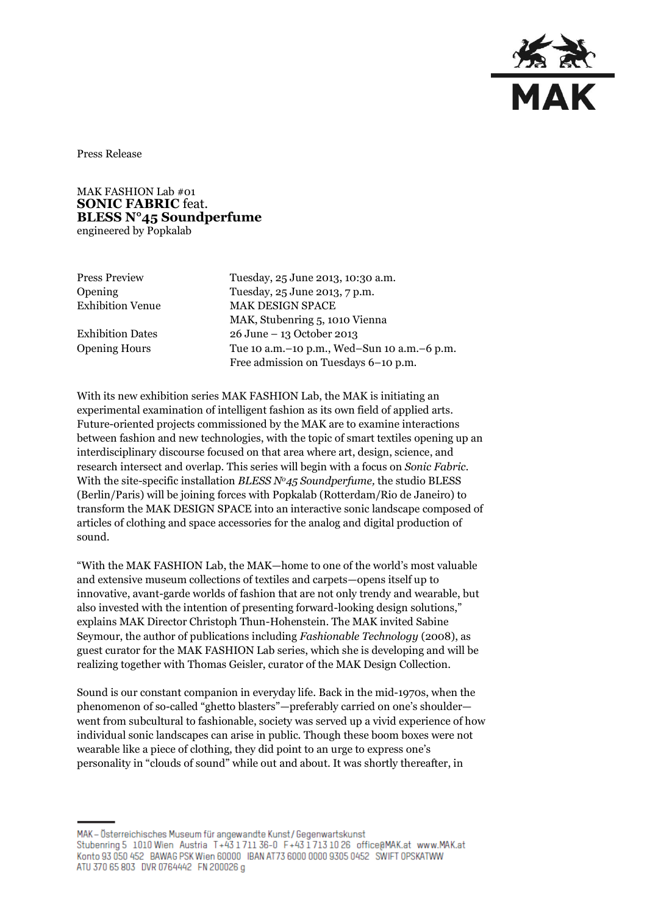

Press Release

MAK FASHION Lab #01 **SONIC FABRIC** feat. **BLESS N°45 Soundperfume**  engineered by Popkalab

Press Preview Tuesday, 25 June 2013, 10:30 a.m. Opening Tuesday, 25 June 2013, 7 p.m. Exhibition Venue MAK DESIGN SPACE MAK, Stubenring 5, 1010 Vienna Exhibition Dates 26 June – 13 October 2013 Opening Hours Tue 10 a.m.–10 p.m., Wed–Sun 10 a.m.–6 p.m. Free admission on Tuesdays 6–10 p.m.

With its new exhibition series MAK FASHION Lab, the MAK is initiating an experimental examination of intelligent fashion as its own field of applied arts. Future-oriented projects commissioned by the MAK are to examine interactions between fashion and new technologies, with the topic of smart textiles opening up an interdisciplinary discourse focused on that area where art, design, science, and research intersect and overlap. This series will begin with a focus on *Sonic Fabric.* With the site-specific installation *BLESS No45 Soundperfume,* the studio BLESS (Berlin/Paris) will be joining forces with Popkalab (Rotterdam/Rio de Janeiro) to transform the MAK DESIGN SPACE into an interactive sonic landscape composed of articles of clothing and space accessories for the analog and digital production of sound.

"With the MAK FASHION Lab, the MAK—home to one of the world's most valuable and extensive museum collections of textiles and carpets—opens itself up to innovative, avant-garde worlds of fashion that are not only trendy and wearable, but also invested with the intention of presenting forward-looking design solutions," explains MAK Director Christoph Thun-Hohenstein. The MAK invited Sabine Seymour, the author of publications including *Fashionable Technology* (2008), as guest curator for the MAK FASHION Lab series, which she is developing and will be realizing together with Thomas Geisler, curator of the MAK Design Collection.

Sound is our constant companion in everyday life. Back in the mid-1970s, when the phenomenon of so-called "ghetto blasters"—preferably carried on one's shoulder went from subcultural to fashionable, society was served up a vivid experience of how individual sonic landscapes can arise in public. Though these boom boxes were not wearable like a piece of clothing, they did point to an urge to express one's personality in "clouds of sound" while out and about. It was shortly thereafter, in

MAK - Österreichisches Museum für angewandte Kunst/Gegenwartskunst Stubenring 5 1010 Wien Austria T+43 1711 36-0 F+43 1713 10 26 office@MAK.at www.MAK.at Konto 93 050 452 BAWAG PSK Wien 60000 BAN AT73 6000 0000 9305 0452 SWIFT 0PSKATWW ATU 370 65 803 DVR 0764442 FN 200026 g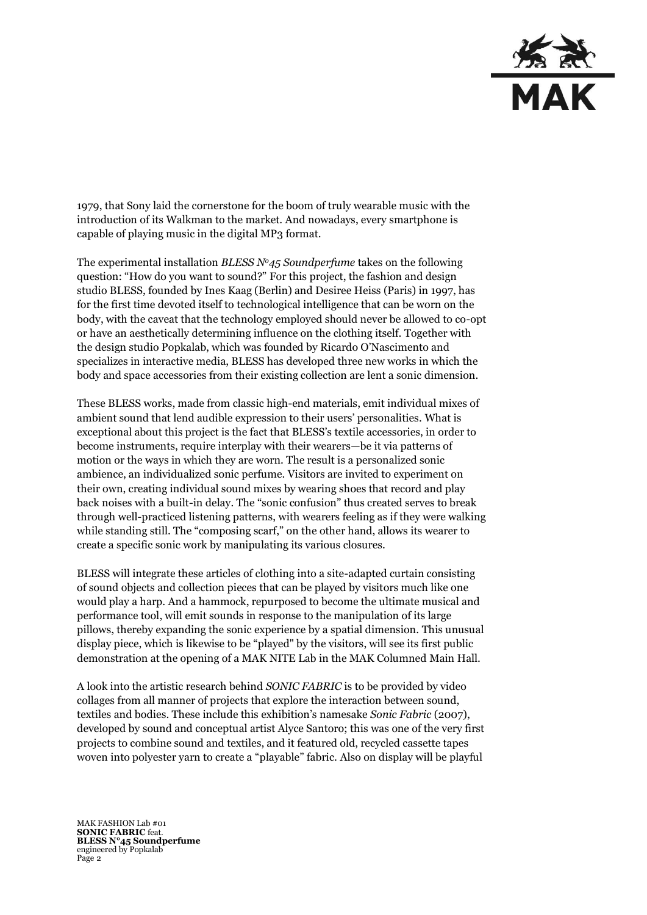

1979, that Sony laid the cornerstone for the boom of truly wearable music with the introduction of its Walkman to the market. And nowadays, every smartphone is capable of playing music in the digital MP3 format.

The experimental installation *BLESS No45 Soundperfume* takes on the following question: "How do you want to sound?" For this project, the fashion and design studio BLESS, founded by Ines Kaag (Berlin) and Desiree Heiss (Paris) in 1997, has for the first time devoted itself to technological intelligence that can be worn on the body, with the caveat that the technology employed should never be allowed to co-opt or have an aesthetically determining influence on the clothing itself. Together with the design studio Popkalab, which was founded by Ricardo O'Nascimento and specializes in interactive media, BLESS has developed three new works in which the body and space accessories from their existing collection are lent a sonic dimension.

These BLESS works, made from classic high-end materials, emit individual mixes of ambient sound that lend audible expression to their users' personalities. What is exceptional about this project is the fact that BLESS's textile accessories, in order to become instruments, require interplay with their wearers—be it via patterns of motion or the ways in which they are worn. The result is a personalized sonic ambience, an individualized sonic perfume. Visitors are invited to experiment on their own, creating individual sound mixes by wearing shoes that record and play back noises with a built-in delay. The "sonic confusion" thus created serves to break through well-practiced listening patterns, with wearers feeling as if they were walking while standing still. The "composing scarf," on the other hand, allows its wearer to create a specific sonic work by manipulating its various closures.

BLESS will integrate these articles of clothing into a site-adapted curtain consisting of sound objects and collection pieces that can be played by visitors much like one would play a harp. And a hammock, repurposed to become the ultimate musical and performance tool, will emit sounds in response to the manipulation of its large pillows, thereby expanding the sonic experience by a spatial dimension. This unusual display piece, which is likewise to be "played" by the visitors, will see its first public demonstration at the opening of a MAK NITE Lab in the MAK Columned Main Hall.

A look into the artistic research behind *SONIC FABRIC* is to be provided by video collages from all manner of projects that explore the interaction between sound, textiles and bodies. These include this exhibition's namesake *Sonic Fabric* (2007), developed by sound and conceptual artist Alyce Santoro; this was one of the very first projects to combine sound and textiles, and it featured old, recycled cassette tapes woven into polyester yarn to create a "playable" fabric. Also on display will be playful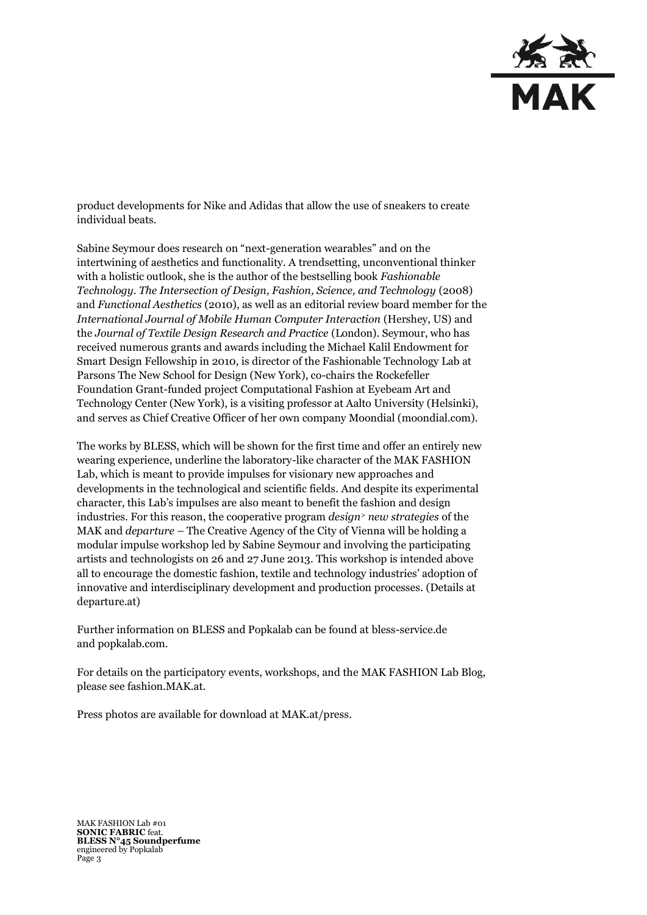

product developments for Nike and Adidas that allow the use of sneakers to create individual beats.

Sabine Seymour does research on "next-generation wearables" and on the intertwining of aesthetics and functionality. A trendsetting, unconventional thinker with a holistic outlook, she is the author of the bestselling book *Fashionable Technology. The Intersection of Design, Fashion, Science, and Technology* (2008) and *Functional Aesthetics* (2010), as well as an editorial review board member for the *International Journal of Mobile Human Computer Interaction* (Hershey, US) and the *Journal of Textile Design Research and Practice* (London). Seymour, who has received numerous grants and awards including the Michael Kalil Endowment for Smart Design Fellowship in 2010, is director of the Fashionable Technology Lab at Parsons The New School for Design (New York), co-chairs the Rockefeller Foundation Grant-funded project Computational Fashion at Eyebeam Art and Technology Center (New York), is a visiting professor at Aalto University (Helsinki), and serves as Chief Creative Officer of her own company Moondial (moondial.com).

The works by BLESS, which will be shown for the first time and offer an entirely new wearing experience, underline the laboratory-like character of the MAK FASHION Lab, which is meant to provide impulses for visionary new approaches and developments in the technological and scientific fields. And despite its experimental character, this Lab's impulses are also meant to benefit the fashion and design industries. For this reason, the cooperative program *design<sup>&</sup>gt; new strategies* of the MAK and *departure –* The Creative Agency of the City of Vienna will be holding a modular impulse workshop led by Sabine Seymour and involving the participating artists and technologists on 26 and 27 June 2013. This workshop is intended above all to encourage the domestic fashion, textile and technology industries' adoption of innovative and interdisciplinary development and production processes. (Details at departure.at)

Further information on BLESS and Popkalab can be found at [bless-service.de](http://www.bless-service.de/) and popkalab.com.

For details on the participatory events, workshops, and the MAK FASHION Lab Blog, please see fashion.MAK.at.

Press photos are available for download at MAK.at/press.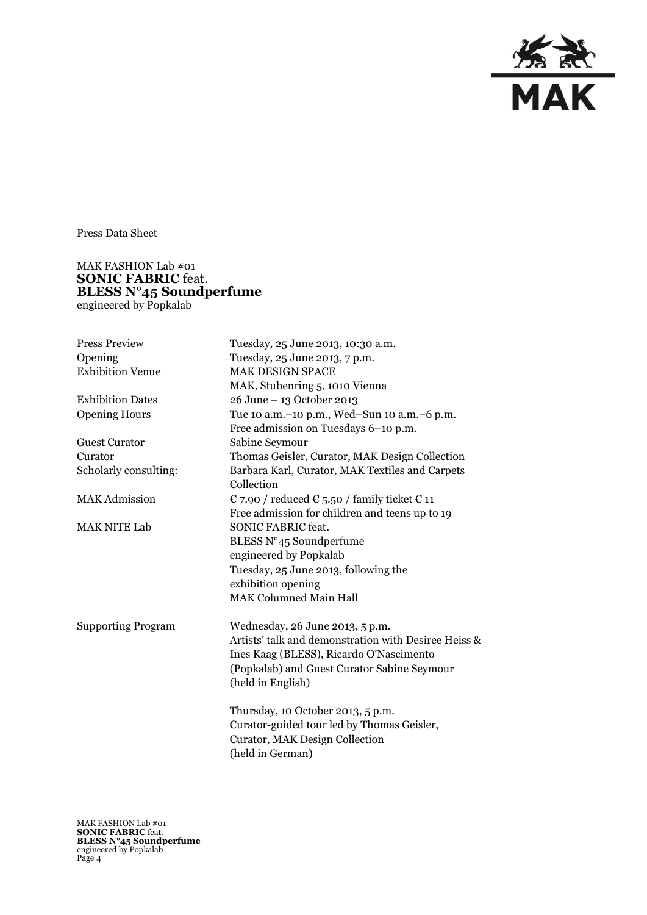

Press Data Sheet

## MAK FASHION Lab #01 **SONIC FABRIC** feat. **BLESS N°45 Soundperfume**  engineered by Popkalab

| <b>Press Preview</b>      | Tuesday, 25 June 2013, 10:30 a.m.                    |
|---------------------------|------------------------------------------------------|
| Opening                   | Tuesday, 25 June 2013, 7 p.m.                        |
| <b>Exhibition Venue</b>   | <b>MAK DESIGN SPACE</b>                              |
|                           | MAK, Stubenring 5, 1010 Vienna                       |
| <b>Exhibition Dates</b>   | 26 June - 13 October 2013                            |
| <b>Opening Hours</b>      | Tue 10 a.m. - 10 p.m., Wed-Sun 10 a.m. - 6 p.m.      |
|                           | Free admission on Tuesdays 6-10 p.m.                 |
| <b>Guest Curator</b>      | Sabine Seymour                                       |
| Curator                   | Thomas Geisler, Curator, MAK Design Collection       |
| Scholarly consulting:     | Barbara Karl, Curator, MAK Textiles and Carpets      |
|                           | Collection                                           |
| <b>MAK Admission</b>      | € 7.90 / reduced € 5.50 / family ticket € 11         |
|                           | Free admission for children and teens up to 19       |
| <b>MAK NITE Lab</b>       | <b>SONIC FABRIC feat.</b>                            |
|                           | BLESS N°45 Soundperfume                              |
|                           | engineered by Popkalab                               |
|                           | Tuesday, 25 June 2013, following the                 |
|                           | exhibition opening                                   |
|                           | <b>MAK Columned Main Hall</b>                        |
| <b>Supporting Program</b> | Wednesday, 26 June 2013, 5 p.m.                      |
|                           | Artists' talk and demonstration with Desiree Heiss & |
|                           | Ines Kaag (BLESS), Ricardo O'Nascimento              |
|                           | (Popkalab) and Guest Curator Sabine Seymour          |
|                           | (held in English)                                    |
|                           | Thursday, 10 October 2013, 5 p.m.                    |
|                           | Curator-guided tour led by Thomas Geisler,           |
|                           | <b>Curator, MAK Design Collection</b>                |
|                           | (held in German)                                     |